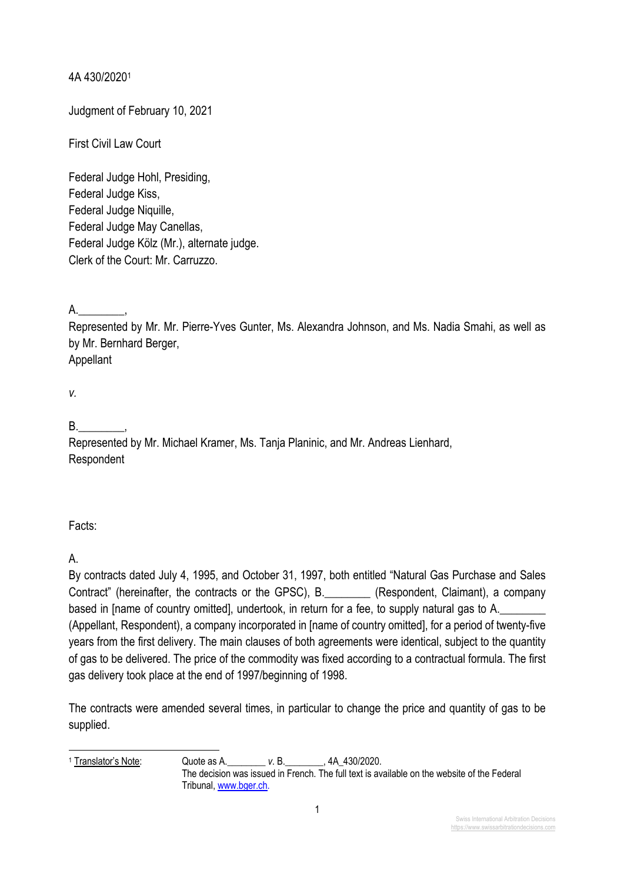4A 430/20201

Judgment of February 10, 2021

First Civil Law Court

Federal Judge Hohl, Presiding, Federal Judge Kiss, Federal Judge Niquille, Federal Judge May Canellas, Federal Judge Kölz (Mr.), alternate judge. Clerk of the Court: Mr. Carruzzo.

 $A.$ 

Represented by Mr. Mr. Pierre-Yves Gunter, Ms. Alexandra Johnson, and Ms. Nadia Smahi, as well as by Mr. Bernhard Berger,

Appellant

*v.*

B.\_\_\_\_\_\_\_\_,

Represented by Mr. Michael Kramer, Ms. Tanja Planinic, and Mr. Andreas Lienhard, Respondent

Facts:

A.

By contracts dated July 4, 1995, and October 31, 1997, both entitled "Natural Gas Purchase and Sales Contract" (hereinafter, the contracts or the GPSC), B.\_\_\_\_\_\_\_\_ (Respondent, Claimant), a company based in [name of country omitted], undertook, in return for a fee, to supply natural gas to A. (Appellant, Respondent), a company incorporated in [name of country omitted], for a period of twenty-five years from the first delivery. The main clauses of both agreements were identical, subject to the quantity of gas to be delivered. The price of the commodity was fixed according to a contractual formula. The first gas delivery took place at the end of 1997/beginning of 1998.

The contracts were amended several times, in particular to change the price and quantity of gas to be supplied.

<sup>1</sup> Translator's Note: Quote as A.\_\_\_\_\_\_\_\_ *v*. B.\_\_\_\_\_\_\_\_, 4A\_430/2020. The decision was issued in French. The full text is available on the website of the Federal Tribunal, www.bger.ch.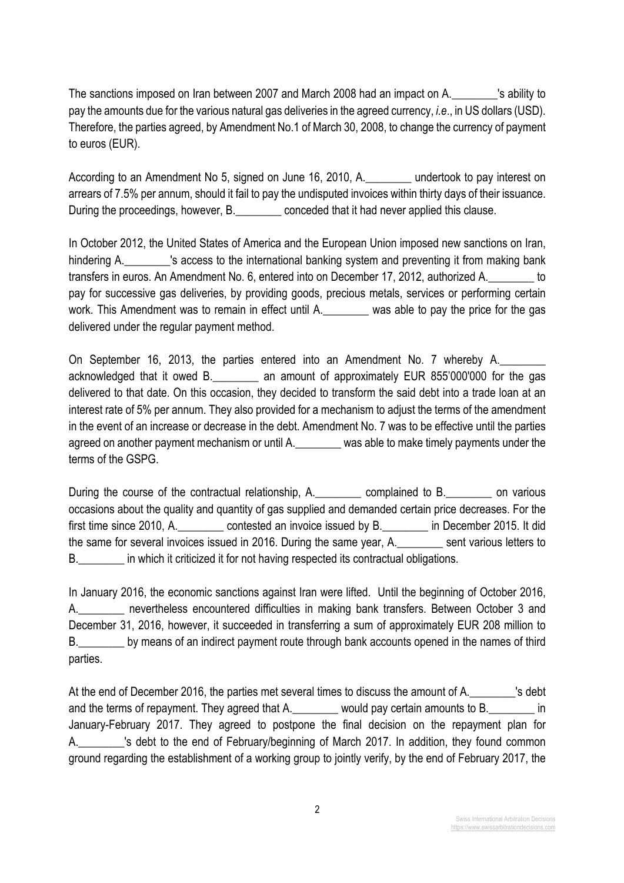The sanctions imposed on Iran between 2007 and March 2008 had an impact on A.\_\_\_\_\_\_\_\_'s ability to pay the amounts due for the various natural gas deliveries in the agreed currency, *i.e*., in US dollars (USD). Therefore, the parties agreed, by Amendment No.1 of March 30, 2008, to change the currency of payment to euros (EUR).

According to an Amendment No 5, signed on June 16, 2010, A.\_\_\_\_\_\_\_\_ undertook to pay interest on arrears of 7.5% per annum, should it fail to pay the undisputed invoices within thirty days of their issuance. During the proceedings, however, B. Conceded that it had never applied this clause.

In October 2012, the United States of America and the European Union imposed new sanctions on Iran, hindering A. This access to the international banking system and preventing it from making bank transfers in euros. An Amendment No. 6, entered into on December 17, 2012, authorized A.\_\_\_\_\_\_\_\_ to pay for successive gas deliveries, by providing goods, precious metals, services or performing certain work. This Amendment was to remain in effect until A. was able to pay the price for the gas delivered under the regular payment method.

On September 16, 2013, the parties entered into an Amendment No. 7 whereby A. acknowledged that it owed B.\_\_\_\_\_\_\_\_ an amount of approximately EUR 855'000'000 for the gas delivered to that date. On this occasion, they decided to transform the said debt into a trade loan at an interest rate of 5% per annum. They also provided for a mechanism to adjust the terms of the amendment in the event of an increase or decrease in the debt. Amendment No. 7 was to be effective until the parties agreed on another payment mechanism or until A. was able to make timely payments under the terms of the GSPG.

During the course of the contractual relationship, A. complained to B. Complained to B. occasions about the quality and quantity of gas supplied and demanded certain price decreases. For the first time since 2010, A. contested an invoice issued by B. The December 2015. It did the same for several invoices issued in 2016. During the same year, A.\_\_\_\_\_\_\_\_ sent various letters to B. The which it criticized it for not having respected its contractual obligations.

In January 2016, the economic sanctions against Iran were lifted. Until the beginning of October 2016, A. The nevertheless encountered difficulties in making bank transfers. Between October 3 and December 31, 2016, however, it succeeded in transferring a sum of approximately EUR 208 million to B. by means of an indirect payment route through bank accounts opened in the names of third parties.

At the end of December 2016, the parties met several times to discuss the amount of A. \_\_\_\_\_\_\_\_'s debt and the terms of repayment. They agreed that A. They would pay certain amounts to B. January-February 2017. They agreed to postpone the final decision on the repayment plan for A. This debt to the end of February/beginning of March 2017. In addition, they found common ground regarding the establishment of a working group to jointly verify, by the end of February 2017, the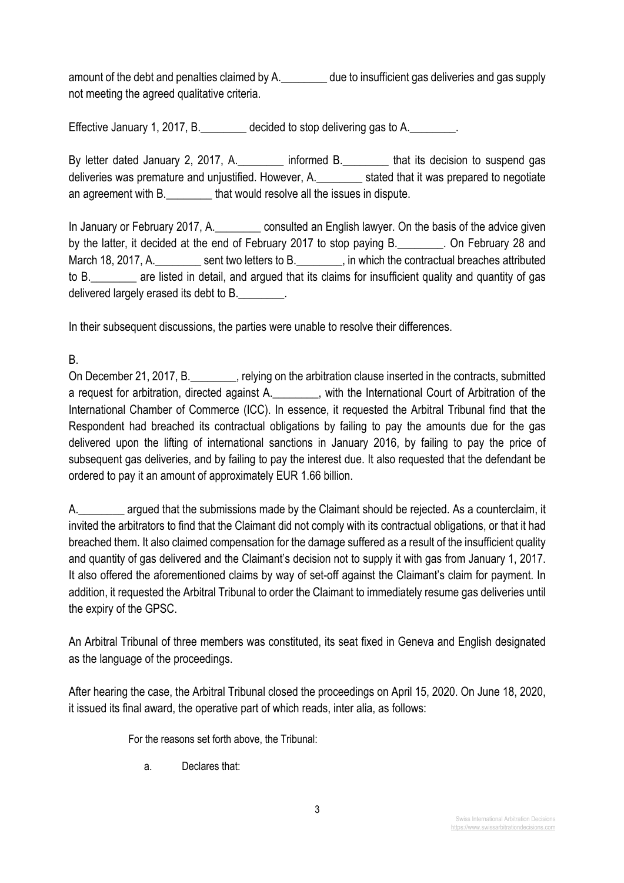amount of the debt and penalties claimed by A. \_\_\_\_\_\_\_\_\_ due to insufficient gas deliveries and gas supply not meeting the agreed qualitative criteria.

Effective January 1, 2017, B. decided to stop delivering gas to A.

By letter dated January 2, 2017, A. The informed B. The that its decision to suspend gas deliveries was premature and unjustified. However, A.\_\_\_\_\_\_\_\_ stated that it was prepared to negotiate an agreement with B. That would resolve all the issues in dispute.

In January or February 2017, A. consulted an English lawyer. On the basis of the advice given by the latter, it decided at the end of February 2017 to stop paying B. Con February 28 and March 18, 2017, A. \_\_\_\_\_\_\_\_\_ sent two letters to B. \_\_\_\_\_\_\_, in which the contractual breaches attributed to B.\_\_\_\_\_\_\_\_ are listed in detail, and argued that its claims for insufficient quality and quantity of gas delivered largely erased its debt to B.

In their subsequent discussions, the parties were unable to resolve their differences.

B.

On December 21, 2017, B.\_\_\_\_\_\_\_\_, relying on the arbitration clause inserted in the contracts, submitted a request for arbitration, directed against A. \_\_\_\_\_\_\_, with the International Court of Arbitration of the International Chamber of Commerce (ICC). In essence, it requested the Arbitral Tribunal find that the Respondent had breached its contractual obligations by failing to pay the amounts due for the gas delivered upon the lifting of international sanctions in January 2016, by failing to pay the price of subsequent gas deliveries, and by failing to pay the interest due. It also requested that the defendant be ordered to pay it an amount of approximately EUR 1.66 billion.

A.\_\_\_\_\_\_\_\_ argued that the submissions made by the Claimant should be rejected. As a counterclaim, it invited the arbitrators to find that the Claimant did not comply with its contractual obligations, or that it had breached them. It also claimed compensation for the damage suffered as a result of the insufficient quality and quantity of gas delivered and the Claimant's decision not to supply it with gas from January 1, 2017. It also offered the aforementioned claims by way of set-off against the Claimant's claim for payment. In addition, it requested the Arbitral Tribunal to order the Claimant to immediately resume gas deliveries until the expiry of the GPSC.

An Arbitral Tribunal of three members was constituted, its seat fixed in Geneva and English designated as the language of the proceedings.

After hearing the case, the Arbitral Tribunal closed the proceedings on April 15, 2020. On June 18, 2020, it issued its final award, the operative part of which reads, inter alia, as follows:

For the reasons set forth above, the Tribunal:

a. Declares that: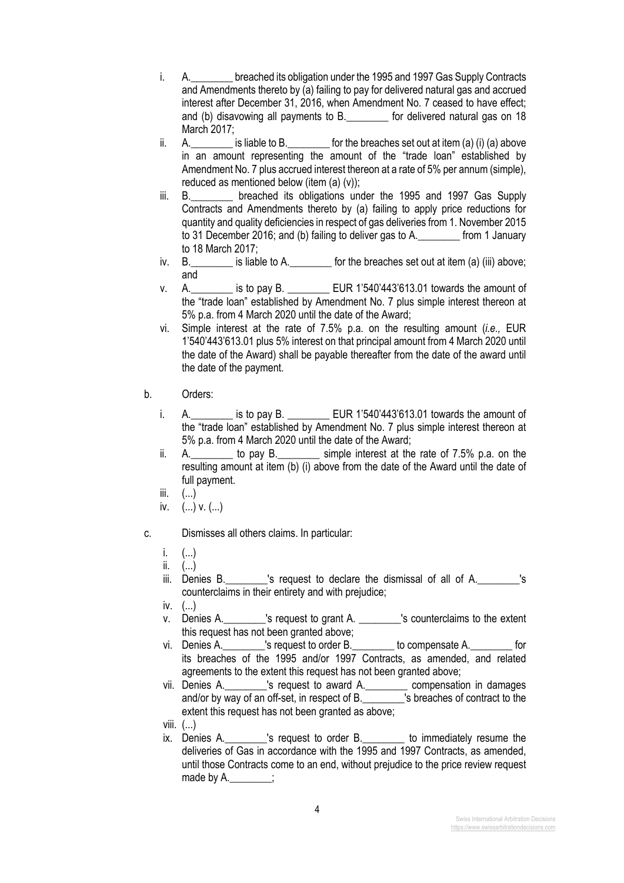- i. A. breached its obligation under the 1995 and 1997 Gas Supply Contracts and Amendments thereto by (a) failing to pay for delivered natural gas and accrued interest after December 31, 2016, when Amendment No. 7 ceased to have effect; and (b) disavowing all payments to B. The ordelivered natural gas on 18 March 2017;
- ii. A.  $\blacksquare$  is liable to B.  $\blacksquare$  for the breaches set out at item (a) (i) (a) above in an amount representing the amount of the "trade loan" established by Amendment No. 7 plus accrued interest thereon at a rate of 5% per annum (simple), reduced as mentioned below (item (a) (v));
- iii. B. \_\_\_\_\_\_\_ breached its obligations under the 1995 and 1997 Gas Supply Contracts and Amendments thereto by (a) failing to apply price reductions for quantity and quality deficiencies in respect of gas deliveries from 1. November 2015 to 31 December 2016; and (b) failing to deliver gas to A.\_\_\_\_\_\_\_\_ from 1 January to 18 March 2017;
- iv. B. **Example 5** is liable to A. **Let us above** for the breaches set out at item (a) (iii) above; and
- v. A.\_\_\_\_\_\_\_\_ is to pay B. \_\_\_\_\_\_\_\_ EUR 1'540'443'613.01 towards the amount of the "trade loan" established by Amendment No. 7 plus simple interest thereon at 5% p.a. from 4 March 2020 until the date of the Award;
- vi. Simple interest at the rate of 7.5% p.a. on the resulting amount (*i.e.,* EUR 1'540'443'613.01 plus 5% interest on that principal amount from 4 March 2020 until the date of the Award) shall be payable thereafter from the date of the award until the date of the payment.
- b. Orders:
	- i. A.\_\_\_\_\_\_\_\_ is to pay B. \_\_\_\_\_\_\_\_ EUR 1'540'443'613.01 towards the amount of the "trade loan" established by Amendment No. 7 plus simple interest thereon at 5% p.a. from 4 March 2020 until the date of the Award;
	- ii. A.\_\_\_\_\_\_\_\_ to pay B.\_\_\_\_\_\_\_\_ simple interest at the rate of 7.5% p.a. on the resulting amount at item (b) (i) above from the date of the Award until the date of full payment.
	- iii.  $($ ... $)$
	- iv.  $(...)$  v.  $(...)$
- c. Dismisses all others claims. In particular:
	- i. (...)
	- ii.  $(...)$
	- $i$ iii. Denies B.  $\blacksquare$  's request to declare the dismissal of all of A.  $\blacksquare$  's counterclaims in their entirety and with prejudice;
	- iv.  $(\ldots)$
	- v. Denies A.  $\frac{1}{2}$  is request to grant A.  $\frac{1}{2}$  is counterclaims to the extent this request has not been granted above;
	- vi. Denies A.\_\_\_\_\_\_\_\_'s request to order B.\_\_\_\_\_\_\_\_ to compensate A.\_\_\_\_\_\_\_\_ for its breaches of the 1995 and/or 1997 Contracts, as amended, and related agreements to the extent this request has not been granted above;
	- vii. Denies A.\_\_\_\_\_\_\_\_'s request to award A.\_\_\_\_\_\_\_\_ compensation in damages and/or by way of an off-set, in respect of B.\_\_\_\_\_\_\_\_\_\_'s breaches of contract to the extent this request has not been granted as above;
	- viii. (...)
	- $ix.$  Denies A.  $x = 3$  is request to order B. The immediately resume the deliveries of Gas in accordance with the 1995 and 1997 Contracts, as amended, until those Contracts come to an end, without prejudice to the price review request made by A. \_\_\_\_\_\_;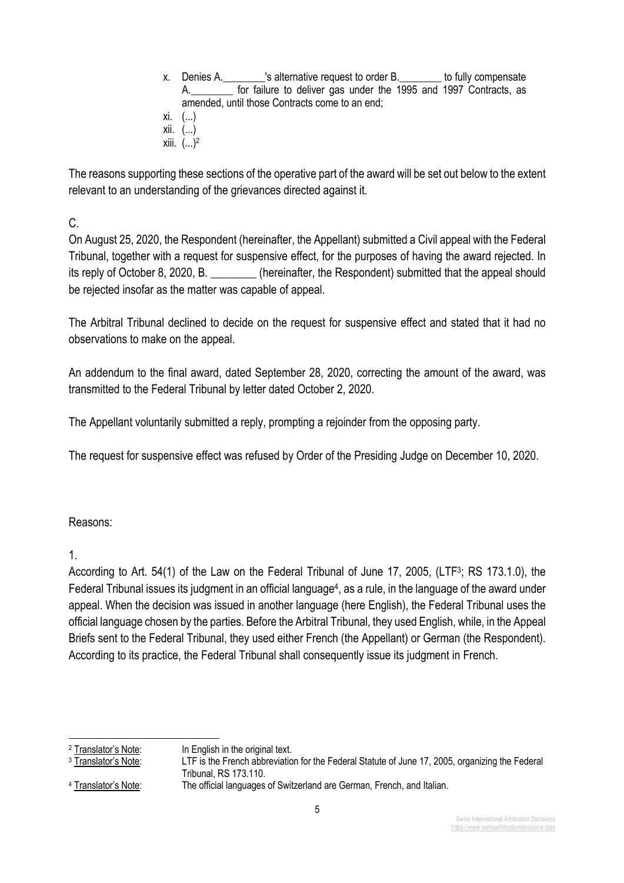x. Denies A. The Sulternative request to order B. The Sully compensate A. The for failure to deliver gas under the 1995 and 1997 Contracts, as amended, until those Contracts come to an end; xi. (...) xii. (...) **xiii.**  $(...)^2$ 

The reasons supporting these sections of the operative part of the award will be set out below to the extent relevant to an understanding of the grievances directed against it.

C.

On August 25, 2020, the Respondent (hereinafter, the Appellant) submitted a Civil appeal with the Federal Tribunal, together with a request for suspensive effect, for the purposes of having the award rejected. In its reply of October 8, 2020, B. \_\_\_\_\_\_\_\_ (hereinafter, the Respondent) submitted that the appeal should be rejected insofar as the matter was capable of appeal.

The Arbitral Tribunal declined to decide on the request for suspensive effect and stated that it had no observations to make on the appeal.

An addendum to the final award, dated September 28, 2020, correcting the amount of the award, was transmitted to the Federal Tribunal by letter dated October 2, 2020.

The Appellant voluntarily submitted a reply, prompting a rejoinder from the opposing party.

The request for suspensive effect was refused by Order of the Presiding Judge on December 10, 2020.

Reasons:

1.

According to Art. 54(1) of the Law on the Federal Tribunal of June 17, 2005, (LTF<sup>3</sup>; RS 173.1.0), the Federal Tribunal issues its judgment in an official language<sup>4</sup>, as a rule, in the language of the award under appeal. When the decision was issued in another language (here English), the Federal Tribunal uses the official language chosen by the parties. Before the Arbitral Tribunal, they used English, while, in the Appeal Briefs sent to the Federal Tribunal, they used either French (the Appellant) or German (the Respondent). According to its practice, the Federal Tribunal shall consequently issue its judgment in French.

<sup>&</sup>lt;sup>2</sup> Translator's Note: In English in the original text.

<sup>3</sup> Translator's Note: LTF is the French abbreviation for the Federal Statute of June 17, 2005, organizing the Federal Tribunal, RS 173.110.

<sup>&</sup>lt;sup>4</sup> Translator's Note: The official languages of Switzerland are German, French, and Italian.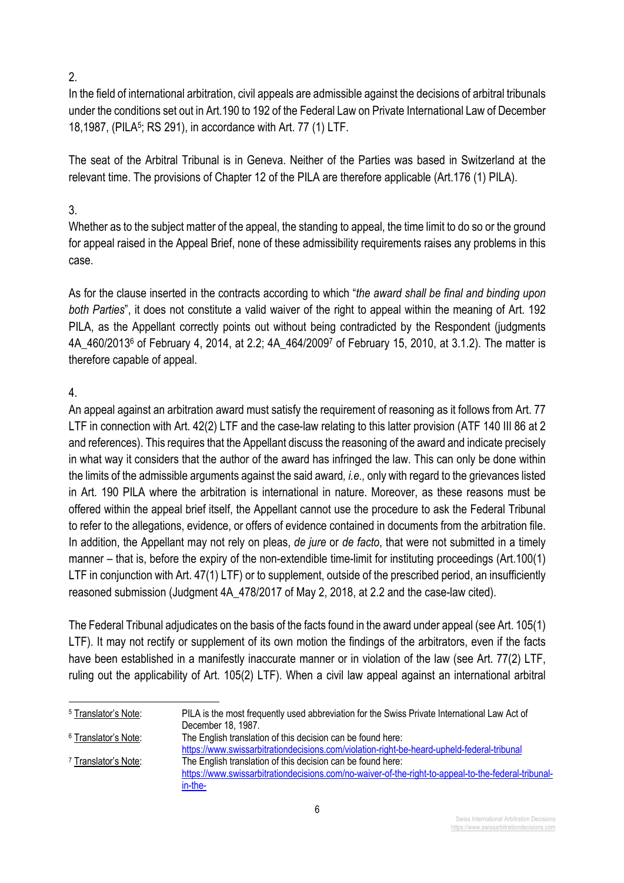2.

In the field of international arbitration, civil appeals are admissible against the decisions of arbitral tribunals under the conditions set out in Art.190 to 192 of the Federal Law on Private International Law of December 18,1987, (PILA5; RS 291), in accordance with Art. 77 (1) LTF.

The seat of the Arbitral Tribunal is in Geneva. Neither of the Parties was based in Switzerland at the relevant time. The provisions of Chapter 12 of the PILA are therefore applicable (Art.176 (1) PILA).

## 3.

Whether as to the subject matter of the appeal, the standing to appeal, the time limit to do so or the ground for appeal raised in the Appeal Brief, none of these admissibility requirements raises any problems in this case.

As for the clause inserted in the contracts according to which "*the award shall be final and binding upon both Parties*", it does not constitute a valid waiver of the right to appeal within the meaning of Art. 192 PILA, as the Appellant correctly points out without being contradicted by the Respondent (judgments 4A\_460/20136 of February 4, 2014, at 2.2; 4A\_464/20097 of February 15, 2010, at 3.1.2). The matter is therefore capable of appeal.

## 4.

An appeal against an arbitration award must satisfy the requirement of reasoning as it follows from Art. 77 LTF in connection with Art. 42(2) LTF and the case-law relating to this latter provision (ATF 140 III 86 at 2 and references). This requires that the Appellant discuss the reasoning of the award and indicate precisely in what way it considers that the author of the award has infringed the law. This can only be done within the limits of the admissible arguments against the said award*, i.e.,* only with regard to the grievances listed in Art. 190 PILA where the arbitration is international in nature. Moreover, as these reasons must be offered within the appeal brief itself, the Appellant cannot use the procedure to ask the Federal Tribunal to refer to the allegations, evidence, or offers of evidence contained in documents from the arbitration file. In addition, the Appellant may not rely on pleas, *de jure* or *de facto*, that were not submitted in a timely manner – that is, before the expiry of the non-extendible time-limit for instituting proceedings (Art.100(1) LTF in conjunction with Art. 47(1) LTF) or to supplement, outside of the prescribed period, an insufficiently reasoned submission (Judgment 4A\_478/2017 of May 2, 2018, at 2.2 and the case-law cited).

The Federal Tribunal adjudicates on the basis of the facts found in the award under appeal (see Art. 105(1) LTF). It may not rectify or supplement of its own motion the findings of the arbitrators, even if the facts have been established in a manifestly inaccurate manner or in violation of the law (see Art. 77(2) LTF, ruling out the applicability of Art. 105(2) LTF). When a civil law appeal against an international arbitral

<sup>&</sup>lt;sup>5</sup> Translator's Note: PILA is the most frequently used abbreviation for the Swiss Private International Law Act of December 18, 1987. <sup>6</sup> Translator's Note: The English translation of this decision can be found here: https://www.swissarbitrationdecisions.com/violation-right-be-heard-upheld-federal-tribunal <sup>7</sup> Translator's Note: The English translation of this decision can be found here: https://www.swissarbitrationdecisions.com/no-waiver-of-the-right-to-appeal-to-the-federal-tribunalin-the-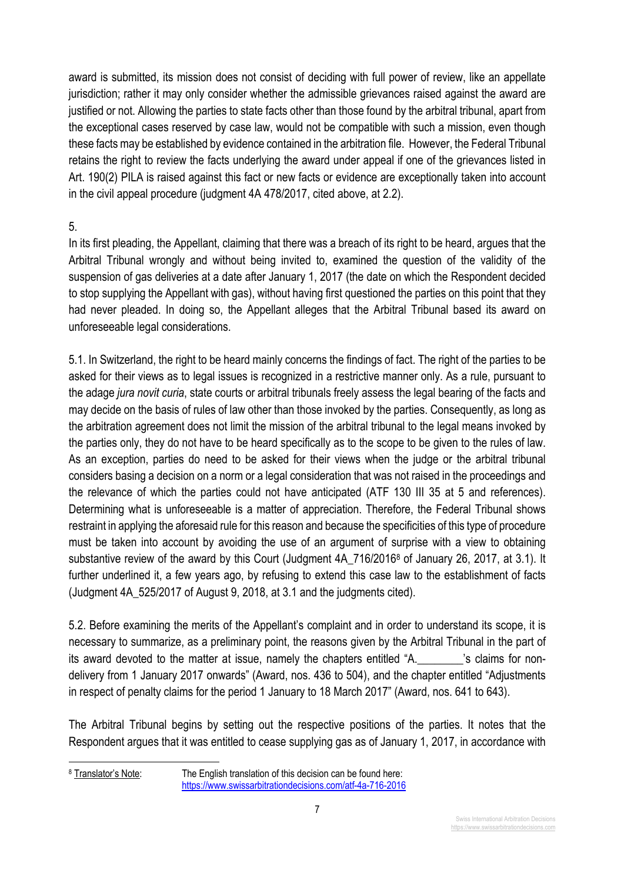award is submitted, its mission does not consist of deciding with full power of review, like an appellate jurisdiction; rather it may only consider whether the admissible grievances raised against the award are justified or not. Allowing the parties to state facts other than those found by the arbitral tribunal, apart from the exceptional cases reserved by case law, would not be compatible with such a mission, even though these facts may be established by evidence contained in the arbitration file. However, the Federal Tribunal retains the right to review the facts underlying the award under appeal if one of the grievances listed in Art. 190(2) PILA is raised against this fact or new facts or evidence are exceptionally taken into account in the civil appeal procedure (judgment 4A 478/2017, cited above, at 2.2).

## 5.

In its first pleading, the Appellant, claiming that there was a breach of its right to be heard, argues that the Arbitral Tribunal wrongly and without being invited to, examined the question of the validity of the suspension of gas deliveries at a date after January 1, 2017 (the date on which the Respondent decided to stop supplying the Appellant with gas), without having first questioned the parties on this point that they had never pleaded. In doing so, the Appellant alleges that the Arbitral Tribunal based its award on unforeseeable legal considerations.

5.1. In Switzerland, the right to be heard mainly concerns the findings of fact. The right of the parties to be asked for their views as to legal issues is recognized in a restrictive manner only. As a rule, pursuant to the adage *jura novit curia*, state courts or arbitral tribunals freely assess the legal bearing of the facts and may decide on the basis of rules of law other than those invoked by the parties. Consequently, as long as the arbitration agreement does not limit the mission of the arbitral tribunal to the legal means invoked by the parties only, they do not have to be heard specifically as to the scope to be given to the rules of law. As an exception, parties do need to be asked for their views when the judge or the arbitral tribunal considers basing a decision on a norm or a legal consideration that was not raised in the proceedings and the relevance of which the parties could not have anticipated (ATF 130 III 35 at 5 and references). Determining what is unforeseeable is a matter of appreciation. Therefore, the Federal Tribunal shows restraint in applying the aforesaid rule for this reason and because the specificities of this type of procedure must be taken into account by avoiding the use of an argument of surprise with a view to obtaining substantive review of the award by this Court (Judgment 4A 716/2016<sup>8</sup> of January 26, 2017, at 3.1). It further underlined it, a few years ago, by refusing to extend this case law to the establishment of facts (Judgment 4A\_525/2017 of August 9, 2018, at 3.1 and the judgments cited).

5.2. Before examining the merits of the Appellant's complaint and in order to understand its scope, it is necessary to summarize, as a preliminary point, the reasons given by the Arbitral Tribunal in the part of its award devoted to the matter at issue, namely the chapters entitled "A.\_\_\_\_\_\_\_\_'s claims for nondelivery from 1 January 2017 onwards" (Award, nos. 436 to 504), and the chapter entitled "Adjustments in respect of penalty claims for the period 1 January to 18 March 2017" (Award, nos. 641 to 643).

The Arbitral Tribunal begins by setting out the respective positions of the parties. It notes that the Respondent argues that it was entitled to cease supplying gas as of January 1, 2017, in accordance with

<sup>8</sup> Translator's Note: The English translation of this decision can be found here: https://www.swissarbitrationdecisions.com/atf-4a-716-2016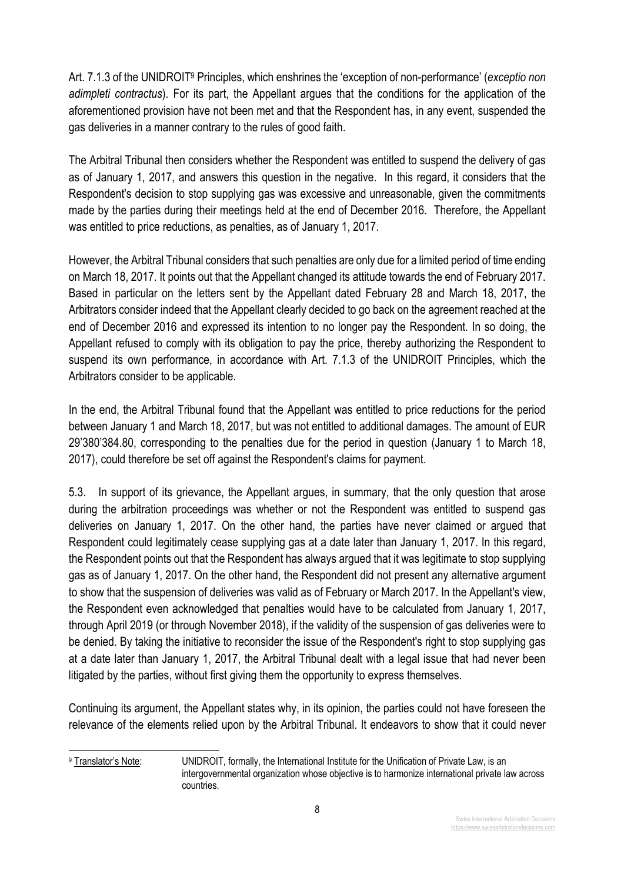Art. 7.1.3 of the UNIDROIT9 Principles, which enshrines the 'exception of non-performance' (*exceptio non adimpleti contractus*). For its part, the Appellant argues that the conditions for the application of the aforementioned provision have not been met and that the Respondent has, in any event, suspended the gas deliveries in a manner contrary to the rules of good faith.

The Arbitral Tribunal then considers whether the Respondent was entitled to suspend the delivery of gas as of January 1, 2017, and answers this question in the negative. In this regard, it considers that the Respondent's decision to stop supplying gas was excessive and unreasonable, given the commitments made by the parties during their meetings held at the end of December 2016. Therefore, the Appellant was entitled to price reductions, as penalties, as of January 1, 2017.

However, the Arbitral Tribunal considers that such penalties are only due for a limited period of time ending on March 18, 2017. It points out that the Appellant changed its attitude towards the end of February 2017. Based in particular on the letters sent by the Appellant dated February 28 and March 18, 2017, the Arbitrators consider indeed that the Appellant clearly decided to go back on the agreement reached at the end of December 2016 and expressed its intention to no longer pay the Respondent. In so doing, the Appellant refused to comply with its obligation to pay the price, thereby authorizing the Respondent to suspend its own performance, in accordance with Art. 7.1.3 of the UNIDROIT Principles, which the Arbitrators consider to be applicable.

In the end, the Arbitral Tribunal found that the Appellant was entitled to price reductions for the period between January 1 and March 18, 2017, but was not entitled to additional damages. The amount of EUR 29'380'384.80, corresponding to the penalties due for the period in question (January 1 to March 18, 2017), could therefore be set off against the Respondent's claims for payment.

5.3. In support of its grievance, the Appellant argues, in summary, that the only question that arose during the arbitration proceedings was whether or not the Respondent was entitled to suspend gas deliveries on January 1, 2017. On the other hand, the parties have never claimed or argued that Respondent could legitimately cease supplying gas at a date later than January 1, 2017. In this regard, the Respondent points out that the Respondent has always argued that it was legitimate to stop supplying gas as of January 1, 2017. On the other hand, the Respondent did not present any alternative argument to show that the suspension of deliveries was valid as of February or March 2017. In the Appellant's view, the Respondent even acknowledged that penalties would have to be calculated from January 1, 2017, through April 2019 (or through November 2018), if the validity of the suspension of gas deliveries were to be denied. By taking the initiative to reconsider the issue of the Respondent's right to stop supplying gas at a date later than January 1, 2017, the Arbitral Tribunal dealt with a legal issue that had never been litigated by the parties, without first giving them the opportunity to express themselves.

Continuing its argument, the Appellant states why, in its opinion, the parties could not have foreseen the relevance of the elements relied upon by the Arbitral Tribunal. It endeavors to show that it could never

<sup>9</sup> Translator's Note: UNIDROIT, formally, the International Institute for the Unification of Private Law, is an intergovernmental organization whose objective is to harmonize international private law across countries.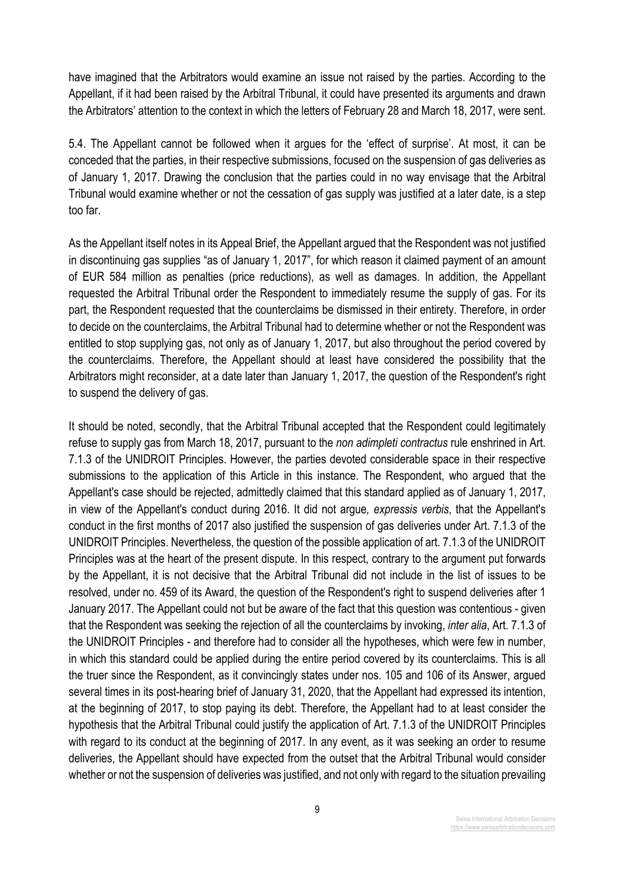have imagined that the Arbitrators would examine an issue not raised by the parties. According to the Appellant, if it had been raised by the Arbitral Tribunal, it could have presented its arguments and drawn the Arbitrators' attention to the context in which the letters of February 28 and March 18, 2017, were sent.

5.4. The Appellant cannot be followed when it argues for the 'effect of surprise'. At most, it can be conceded that the parties, in their respective submissions, focused on the suspension of gas deliveries as of January 1, 2017. Drawing the conclusion that the parties could in no way envisage that the Arbitral Tribunal would examine whether or not the cessation of gas supply was justified at a later date, is a step too far.

As the Appellant itself notes in its Appeal Brief, the Appellant argued that the Respondent was not justified in discontinuing gas supplies "as of January 1, 2017", for which reason it claimed payment of an amount of EUR 584 million as penalties (price reductions), as well as damages. In addition, the Appellant requested the Arbitral Tribunal order the Respondent to immediately resume the supply of gas. For its part, the Respondent requested that the counterclaims be dismissed in their entirety. Therefore, in order to decide on the counterclaims, the Arbitral Tribunal had to determine whether or not the Respondent was entitled to stop supplying gas, not only as of January 1, 2017, but also throughout the period covered by the counterclaims. Therefore, the Appellant should at least have considered the possibility that the Arbitrators might reconsider, at a date later than January 1, 2017, the question of the Respondent's right to suspend the delivery of gas.

It should be noted, secondly, that the Arbitral Tribunal accepted that the Respondent could legitimately refuse to supply gas from March 18, 2017, pursuant to the *non adimpleti contractus* rule enshrined in Art. 7.1.3 of the UNIDROIT Principles. However, the parties devoted considerable space in their respective submissions to the application of this Article in this instance. The Respondent, who argued that the Appellant's case should be rejected, admittedly claimed that this standard applied as of January 1, 2017, in view of the Appellant's conduct during 2016. It did not argue*, expressis verbis*, that the Appellant's conduct in the first months of 2017 also justified the suspension of gas deliveries under Art. 7.1.3 of the UNIDROIT Principles. Nevertheless, the question of the possible application of art. 7.1.3 of the UNIDROIT Principles was at the heart of the present dispute. In this respect, contrary to the argument put forwards by the Appellant, it is not decisive that the Arbitral Tribunal did not include in the list of issues to be resolved, under no. 459 of its Award, the question of the Respondent's right to suspend deliveries after 1 January 2017. The Appellant could not but be aware of the fact that this question was contentious - given that the Respondent was seeking the rejection of all the counterclaims by invoking, *inter alia*, Art. 7.1.3 of the UNIDROIT Principles - and therefore had to consider all the hypotheses, which were few in number, in which this standard could be applied during the entire period covered by its counterclaims. This is all the truer since the Respondent, as it convincingly states under nos. 105 and 106 of its Answer, argued several times in its post-hearing brief of January 31, 2020, that the Appellant had expressed its intention, at the beginning of 2017, to stop paying its debt. Therefore, the Appellant had to at least consider the hypothesis that the Arbitral Tribunal could justify the application of Art. 7.1.3 of the UNIDROIT Principles with regard to its conduct at the beginning of 2017. In any event, as it was seeking an order to resume deliveries, the Appellant should have expected from the outset that the Arbitral Tribunal would consider whether or not the suspension of deliveries was justified, and not only with regard to the situation prevailing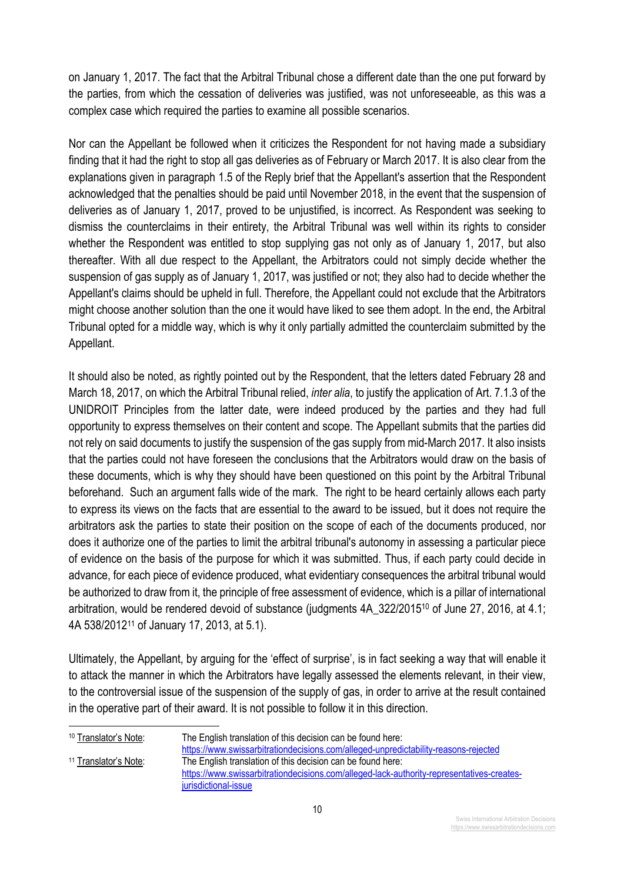on January 1, 2017. The fact that the Arbitral Tribunal chose a different date than the one put forward by the parties, from which the cessation of deliveries was justified, was not unforeseeable, as this was a complex case which required the parties to examine all possible scenarios.

Nor can the Appellant be followed when it criticizes the Respondent for not having made a subsidiary finding that it had the right to stop all gas deliveries as of February or March 2017. It is also clear from the explanations given in paragraph 1.5 of the Reply brief that the Appellant's assertion that the Respondent acknowledged that the penalties should be paid until November 2018, in the event that the suspension of deliveries as of January 1, 2017, proved to be unjustified, is incorrect. As Respondent was seeking to dismiss the counterclaims in their entirety, the Arbitral Tribunal was well within its rights to consider whether the Respondent was entitled to stop supplying gas not only as of January 1, 2017, but also thereafter. With all due respect to the Appellant, the Arbitrators could not simply decide whether the suspension of gas supply as of January 1, 2017, was justified or not; they also had to decide whether the Appellant's claims should be upheld in full. Therefore, the Appellant could not exclude that the Arbitrators might choose another solution than the one it would have liked to see them adopt. In the end, the Arbitral Tribunal opted for a middle way, which is why it only partially admitted the counterclaim submitted by the Appellant.

It should also be noted, as rightly pointed out by the Respondent, that the letters dated February 28 and March 18, 2017, on which the Arbitral Tribunal relied, *inter alia*, to justify the application of Art. 7.1.3 of the UNIDROIT Principles from the latter date, were indeed produced by the parties and they had full opportunity to express themselves on their content and scope. The Appellant submits that the parties did not rely on said documents to justify the suspension of the gas supply from mid-March 2017. It also insists that the parties could not have foreseen the conclusions that the Arbitrators would draw on the basis of these documents, which is why they should have been questioned on this point by the Arbitral Tribunal beforehand. Such an argument falls wide of the mark. The right to be heard certainly allows each party to express its views on the facts that are essential to the award to be issued, but it does not require the arbitrators ask the parties to state their position on the scope of each of the documents produced, nor does it authorize one of the parties to limit the arbitral tribunal's autonomy in assessing a particular piece of evidence on the basis of the purpose for which it was submitted. Thus, if each party could decide in advance, for each piece of evidence produced, what evidentiary consequences the arbitral tribunal would be authorized to draw from it, the principle of free assessment of evidence, which is a pillar of international arbitration, would be rendered devoid of substance (judgments 4A\_322/201510 of June 27, 2016, at 4.1; 4A 538/201211 of January 17, 2013, at 5.1).

Ultimately, the Appellant, by arguing for the 'effect of surprise', is in fact seeking a way that will enable it to attack the manner in which the Arbitrators have legally assessed the elements relevant, in their view, to the controversial issue of the suspension of the supply of gas, in order to arrive at the result contained in the operative part of their award. It is not possible to follow it in this direction.

<sup>10</sup> Translator's Note: The English translation of this decision can be found here: https://www.swissarbitrationdecisions.com/alleged-unpredictability-reasons-rejected <sup>11</sup> Translator's Note: The English translation of this decision can be found here: https://www.swissarbitrationdecisions.com/alleged-lack-authority-representatives-createsjurisdictional-issue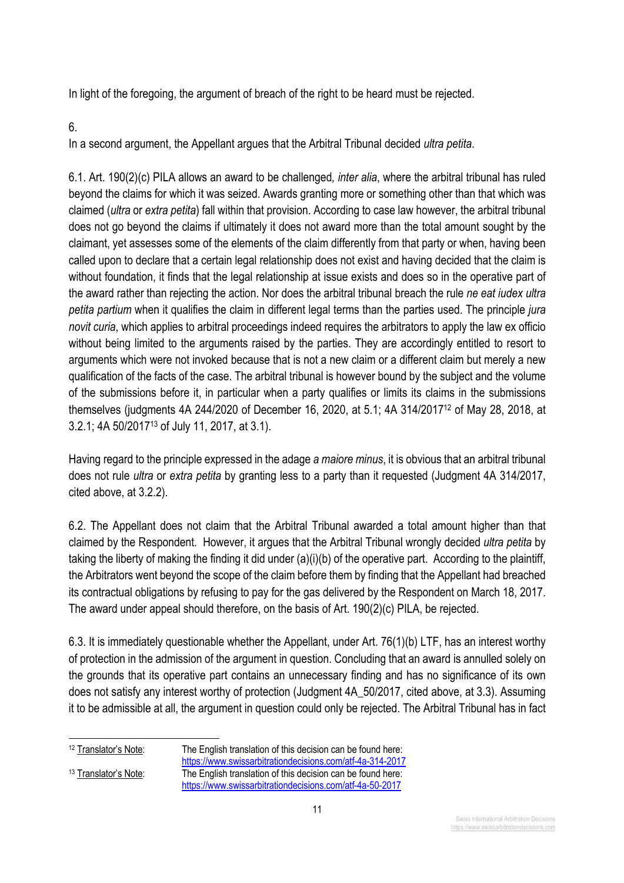In light of the foregoing, the argument of breach of the right to be heard must be rejected.

6.

In a second argument, the Appellant argues that the Arbitral Tribunal decided *ultra petita*.

6.1. Art. 190(2)(c) PILA allows an award to be challenged*, inter alia*, where the arbitral tribunal has ruled beyond the claims for which it was seized. Awards granting more or something other than that which was claimed (*ultra* or *extra petita*) fall within that provision. According to case law however, the arbitral tribunal does not go beyond the claims if ultimately it does not award more than the total amount sought by the claimant, yet assesses some of the elements of the claim differently from that party or when, having been called upon to declare that a certain legal relationship does not exist and having decided that the claim is without foundation, it finds that the legal relationship at issue exists and does so in the operative part of the award rather than rejecting the action. Nor does the arbitral tribunal breach the rule *ne eat iudex ultra petita partium* when it qualifies the claim in different legal terms than the parties used. The principle *jura novit curia*, which applies to arbitral proceedings indeed requires the arbitrators to apply the law ex officio without being limited to the arguments raised by the parties. They are accordingly entitled to resort to arguments which were not invoked because that is not a new claim or a different claim but merely a new qualification of the facts of the case. The arbitral tribunal is however bound by the subject and the volume of the submissions before it, in particular when a party qualifies or limits its claims in the submissions themselves (judgments 4A 244/2020 of December 16, 2020, at 5.1; 4A 314/201712 of May 28, 2018, at 3.2.1; 4A 50/201713 of July 11, 2017, at 3.1).

Having regard to the principle expressed in the adage *a maiore minus*, it is obvious that an arbitral tribunal does not rule *ultra* or *extra petita* by granting less to a party than it requested (Judgment 4A 314/2017, cited above, at 3.2.2).

6.2. The Appellant does not claim that the Arbitral Tribunal awarded a total amount higher than that claimed by the Respondent. However, it argues that the Arbitral Tribunal wrongly decided *ultra petita* by taking the liberty of making the finding it did under (a)(i)(b) of the operative part. According to the plaintiff, the Arbitrators went beyond the scope of the claim before them by finding that the Appellant had breached its contractual obligations by refusing to pay for the gas delivered by the Respondent on March 18, 2017. The award under appeal should therefore, on the basis of Art. 190(2)(c) PILA, be rejected.

6.3. It is immediately questionable whether the Appellant, under Art. 76(1)(b) LTF, has an interest worthy of protection in the admission of the argument in question. Concluding that an award is annulled solely on the grounds that its operative part contains an unnecessary finding and has no significance of its own does not satisfy any interest worthy of protection (Judgment 4A\_50/2017, cited above, at 3.3). Assuming it to be admissible at all, the argument in question could only be rejected. The Arbitral Tribunal has in fact

<sup>&</sup>lt;sup>12</sup> Translator's Note: The English translation of this decision can be found here: https://www.swissarbitrationdecisions.com/atf-4a-314-2017 <sup>13</sup> Translator's Note: The English translation of this decision can be found here: https://www.swissarbitrationdecisions.com/atf-4a-50-2017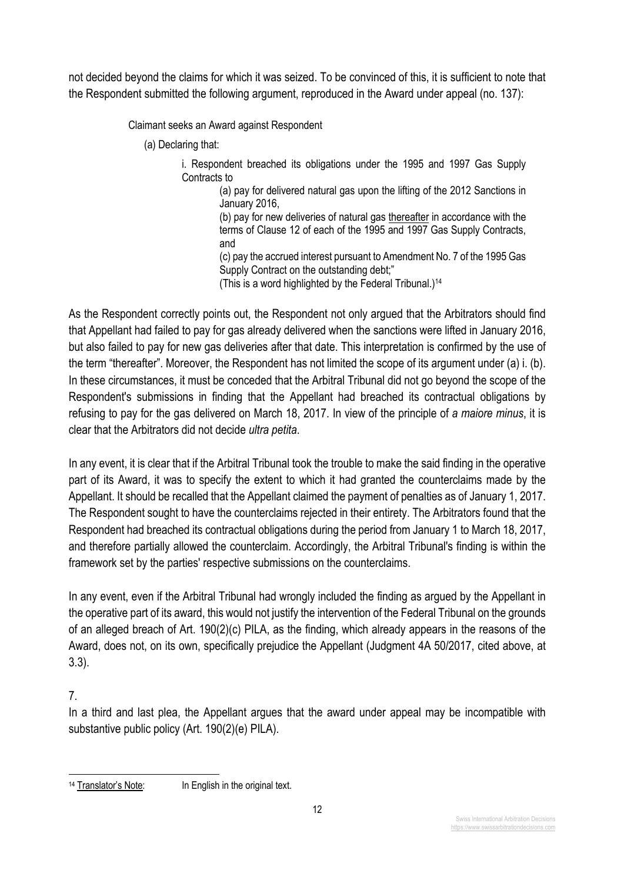not decided beyond the claims for which it was seized. To be convinced of this, it is sufficient to note that the Respondent submitted the following argument, reproduced in the Award under appeal (no. 137):

Claimant seeks an Award against Respondent

(a) Declaring that:

i. Respondent breached its obligations under the 1995 and 1997 Gas Supply Contracts to

(a) pay for delivered natural gas upon the lifting of the 2012 Sanctions in January 2016,

(b) pay for new deliveries of natural gas thereafter in accordance with the terms of Clause 12 of each of the 1995 and 1997 Gas Supply Contracts, and

(c) pay the accrued interest pursuant to Amendment No. 7 of the 1995 Gas Supply Contract on the outstanding debt;"

(This is a word highlighted by the Federal Tribunal.)<sup>14</sup>

As the Respondent correctly points out, the Respondent not only argued that the Arbitrators should find that Appellant had failed to pay for gas already delivered when the sanctions were lifted in January 2016, but also failed to pay for new gas deliveries after that date. This interpretation is confirmed by the use of the term "thereafter". Moreover, the Respondent has not limited the scope of its argument under (a) i. (b). In these circumstances, it must be conceded that the Arbitral Tribunal did not go beyond the scope of the Respondent's submissions in finding that the Appellant had breached its contractual obligations by refusing to pay for the gas delivered on March 18, 2017. In view of the principle of *a maiore minus*, it is clear that the Arbitrators did not decide *ultra petita*.

In any event, it is clear that if the Arbitral Tribunal took the trouble to make the said finding in the operative part of its Award, it was to specify the extent to which it had granted the counterclaims made by the Appellant. It should be recalled that the Appellant claimed the payment of penalties as of January 1, 2017. The Respondent sought to have the counterclaims rejected in their entirety. The Arbitrators found that the Respondent had breached its contractual obligations during the period from January 1 to March 18, 2017, and therefore partially allowed the counterclaim. Accordingly, the Arbitral Tribunal's finding is within the framework set by the parties' respective submissions on the counterclaims.

In any event, even if the Arbitral Tribunal had wrongly included the finding as argued by the Appellant in the operative part of its award, this would not justify the intervention of the Federal Tribunal on the grounds of an alleged breach of Art. 190(2)(c) PILA, as the finding, which already appears in the reasons of the Award, does not, on its own, specifically prejudice the Appellant (Judgment 4A 50/2017, cited above, at 3.3).

7.

In a third and last plea, the Appellant argues that the award under appeal may be incompatible with substantive public policy (Art. 190(2)(e) PILA).

<sup>&</sup>lt;sup>14</sup> Translator's Note: In English in the original text.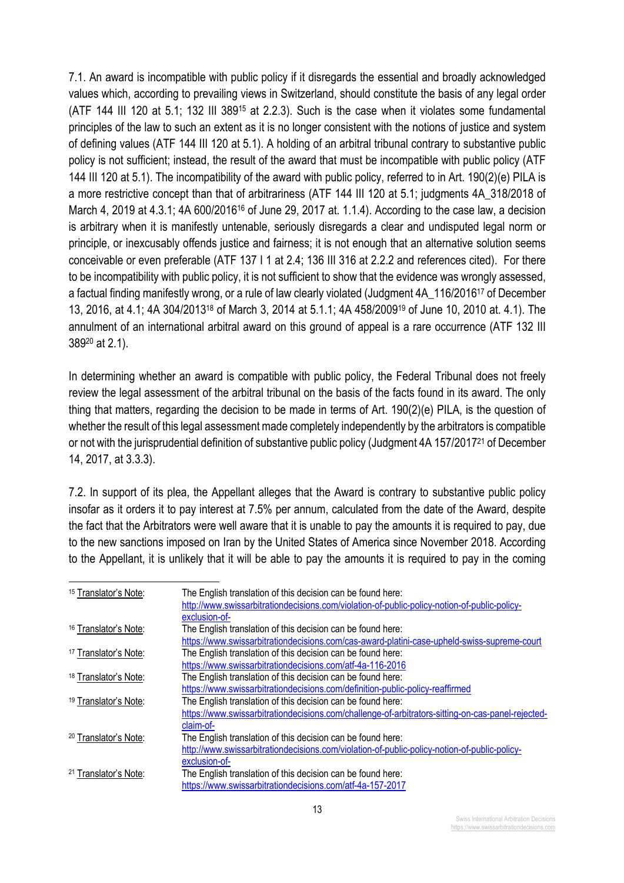7.1. An award is incompatible with public policy if it disregards the essential and broadly acknowledged values which, according to prevailing views in Switzerland, should constitute the basis of any legal order (ATF 144 III 120 at 5.1; 132 III 38915 at 2.2.3). Such is the case when it violates some fundamental principles of the law to such an extent as it is no longer consistent with the notions of justice and system of defining values (ATF 144 III 120 at 5.1). A holding of an arbitral tribunal contrary to substantive public policy is not sufficient; instead, the result of the award that must be incompatible with public policy (ATF 144 III 120 at 5.1). The incompatibility of the award with public policy, referred to in Art. 190(2)(e) PILA is a more restrictive concept than that of arbitrariness (ATF 144 III 120 at 5.1; judgments 4A\_318/2018 of March 4, 2019 at 4.3.1; 4A 600/2016<sup>16</sup> of June 29, 2017 at. 1.1.4). According to the case law, a decision is arbitrary when it is manifestly untenable, seriously disregards a clear and undisputed legal norm or principle, or inexcusably offends justice and fairness; it is not enough that an alternative solution seems conceivable or even preferable (ATF 137 I 1 at 2.4; 136 III 316 at 2.2.2 and references cited). For there to be incompatibility with public policy, it is not sufficient to show that the evidence was wrongly assessed, a factual finding manifestly wrong, or a rule of law clearly violated (Judgment 4A\_116/201617 of December 13, 2016, at 4.1; 4A 304/201318 of March 3, 2014 at 5.1.1; 4A 458/200919 of June 10, 2010 at. 4.1). The annulment of an international arbitral award on this ground of appeal is a rare occurrence (ATF 132 III 38920 at 2.1).

In determining whether an award is compatible with public policy, the Federal Tribunal does not freely review the legal assessment of the arbitral tribunal on the basis of the facts found in its award. The only thing that matters, regarding the decision to be made in terms of Art. 190(2)(e) PILA, is the question of whether the result of this legal assessment made completely independently by the arbitrators is compatible or not with the jurisprudential definition of substantive public policy (Judgment 4A 157/201721 of December 14, 2017, at 3.3.3).

7.2. In support of its plea, the Appellant alleges that the Award is contrary to substantive public policy insofar as it orders it to pay interest at 7.5% per annum, calculated from the date of the Award, despite the fact that the Arbitrators were well aware that it is unable to pay the amounts it is required to pay, due to the new sanctions imposed on Iran by the United States of America since November 2018. According to the Appellant, it is unlikely that it will be able to pay the amounts it is required to pay in the coming

| <sup>15</sup> Translator's Note: | The English translation of this decision can be found here:                                       |
|----------------------------------|---------------------------------------------------------------------------------------------------|
|                                  | http://www.swissarbitrationdecisions.com/violation-of-public-policy-notion-of-public-policy-      |
|                                  | exclusion-of-                                                                                     |
| <sup>16</sup> Translator's Note: | The English translation of this decision can be found here:                                       |
|                                  | https://www.swissarbitrationdecisions.com/cas-award-platini-case-upheld-swiss-supreme-court       |
| <sup>17</sup> Translator's Note: | The English translation of this decision can be found here:                                       |
|                                  | https://www.swissarbitrationdecisions.com/atf-4a-116-2016                                         |
| <sup>18</sup> Translator's Note: | The English translation of this decision can be found here:                                       |
|                                  | https://www.swissarbitrationdecisions.com/definition-public-policy-reaffirmed                     |
| <sup>19</sup> Translator's Note: | The English translation of this decision can be found here:                                       |
|                                  | https://www.swissarbitrationdecisions.com/challenge-of-arbitrators-sitting-on-cas-panel-rejected- |
|                                  | claim-of-                                                                                         |
| <sup>20</sup> Translator's Note: | The English translation of this decision can be found here:                                       |
|                                  | http://www.swissarbitrationdecisions.com/violation-of-public-policy-notion-of-public-policy-      |
|                                  | exclusion-of-                                                                                     |
| <sup>21</sup> Translator's Note: | The English translation of this decision can be found here:                                       |
|                                  | https://www.swissarbitrationdecisions.com/atf-4a-157-2017                                         |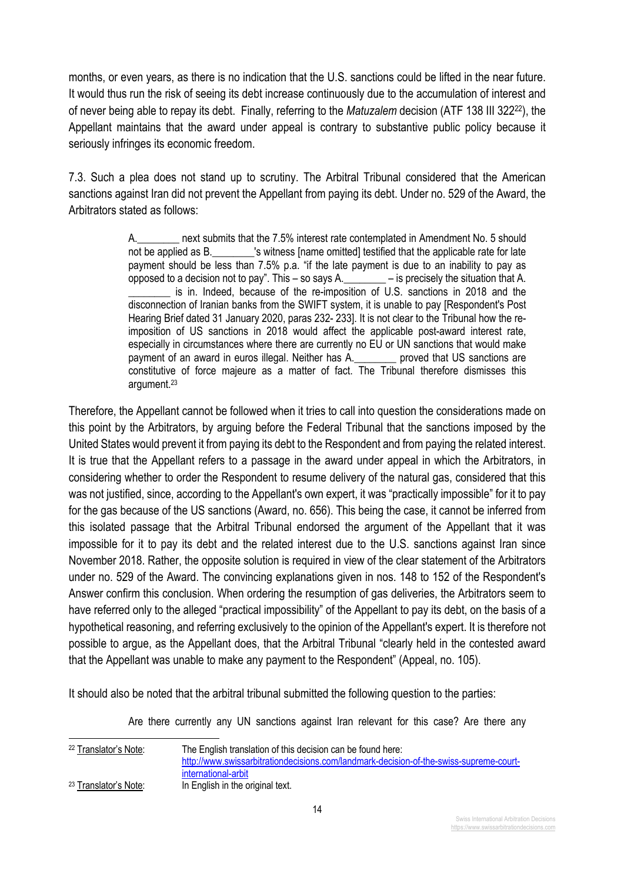months, or even years, as there is no indication that the U.S. sanctions could be lifted in the near future. It would thus run the risk of seeing its debt increase continuously due to the accumulation of interest and of never being able to repay its debt. Finally, referring to the *Matuzalem* decision (ATF 138 III 32222), the Appellant maintains that the award under appeal is contrary to substantive public policy because it seriously infringes its economic freedom.

7.3. Such a plea does not stand up to scrutiny. The Arbitral Tribunal considered that the American sanctions against Iran did not prevent the Appellant from paying its debt. Under no. 529 of the Award, the Arbitrators stated as follows:

> A.\_\_\_\_\_\_\_\_ next submits that the 7.5% interest rate contemplated in Amendment No. 5 should not be applied as B. The summer is witness iname omitted] testified that the applicable rate for late payment should be less than 7.5% p.a. "if the late payment is due to an inability to pay as opposed to a decision not to pay". This – so says A.\_\_\_\_\_\_\_\_ – is precisely the situation that A. is in. Indeed, because of the re-imposition of U.S. sanctions in 2018 and the disconnection of Iranian banks from the SWIFT system, it is unable to pay [Respondent's Post Hearing Brief dated 31 January 2020, paras 232- 233]. It is not clear to the Tribunal how the reimposition of US sanctions in 2018 would affect the applicable post-award interest rate, especially in circumstances where there are currently no EU or UN sanctions that would make payment of an award in euros illegal. Neither has A.\_\_\_\_\_\_\_\_ proved that US sanctions are constitutive of force majeure as a matter of fact. The Tribunal therefore dismisses this argument. 23

Therefore, the Appellant cannot be followed when it tries to call into question the considerations made on this point by the Arbitrators, by arguing before the Federal Tribunal that the sanctions imposed by the United States would prevent it from paying its debt to the Respondent and from paying the related interest. It is true that the Appellant refers to a passage in the award under appeal in which the Arbitrators, in considering whether to order the Respondent to resume delivery of the natural gas, considered that this was not justified, since, according to the Appellant's own expert, it was "practically impossible" for it to pay for the gas because of the US sanctions (Award, no. 656). This being the case, it cannot be inferred from this isolated passage that the Arbitral Tribunal endorsed the argument of the Appellant that it was impossible for it to pay its debt and the related interest due to the U.S. sanctions against Iran since November 2018. Rather, the opposite solution is required in view of the clear statement of the Arbitrators under no. 529 of the Award. The convincing explanations given in nos. 148 to 152 of the Respondent's Answer confirm this conclusion. When ordering the resumption of gas deliveries, the Arbitrators seem to have referred only to the alleged "practical impossibility" of the Appellant to pay its debt, on the basis of a hypothetical reasoning, and referring exclusively to the opinion of the Appellant's expert. It is therefore not possible to argue, as the Appellant does, that the Arbitral Tribunal "clearly held in the contested award that the Appellant was unable to make any payment to the Respondent" (Appeal, no. 105).

It should also be noted that the arbitral tribunal submitted the following question to the parties:

Are there currently any UN sanctions against Iran relevant for this case? Are there any

| <sup>22</sup> Translator's Note: | The English translation of this decision can be found here:                            |
|----------------------------------|----------------------------------------------------------------------------------------|
|                                  | http://www.swissarbitrationdecisions.com/landmark-decision-of-the-swiss-supreme-court- |
|                                  | international-arbit                                                                    |
| <sup>23</sup> Translator's Note: | In English in the original text.                                                       |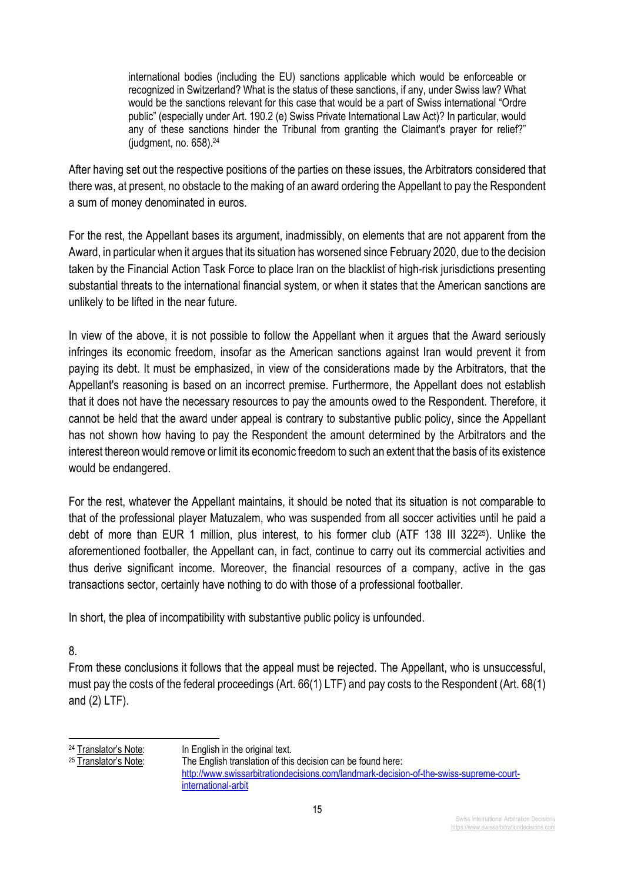international bodies (including the EU) sanctions applicable which would be enforceable or recognized in Switzerland? What is the status of these sanctions, if any, under Swiss law? What would be the sanctions relevant for this case that would be a part of Swiss international "Ordre public" (especially under Art. 190.2 (e) Swiss Private International Law Act)? In particular, would any of these sanctions hinder the Tribunal from granting the Claimant's prayer for relief?" (judgment, no. 658).24

After having set out the respective positions of the parties on these issues, the Arbitrators considered that there was, at present, no obstacle to the making of an award ordering the Appellant to pay the Respondent a sum of money denominated in euros.

For the rest, the Appellant bases its argument, inadmissibly, on elements that are not apparent from the Award, in particular when it argues that its situation has worsened since February 2020, due to the decision taken by the Financial Action Task Force to place Iran on the blacklist of high-risk jurisdictions presenting substantial threats to the international financial system, or when it states that the American sanctions are unlikely to be lifted in the near future.

In view of the above, it is not possible to follow the Appellant when it argues that the Award seriously infringes its economic freedom, insofar as the American sanctions against Iran would prevent it from paying its debt. It must be emphasized, in view of the considerations made by the Arbitrators, that the Appellant's reasoning is based on an incorrect premise. Furthermore, the Appellant does not establish that it does not have the necessary resources to pay the amounts owed to the Respondent. Therefore, it cannot be held that the award under appeal is contrary to substantive public policy, since the Appellant has not shown how having to pay the Respondent the amount determined by the Arbitrators and the interest thereon would remove or limit its economic freedom to such an extent that the basis of its existence would be endangered.

For the rest, whatever the Appellant maintains, it should be noted that its situation is not comparable to that of the professional player Matuzalem, who was suspended from all soccer activities until he paid a debt of more than EUR 1 million, plus interest, to his former club (ATF 138 III 32225). Unlike the aforementioned footballer, the Appellant can, in fact, continue to carry out its commercial activities and thus derive significant income. Moreover, the financial resources of a company, active in the gas transactions sector, certainly have nothing to do with those of a professional footballer.

In short, the plea of incompatibility with substantive public policy is unfounded.

## 8.

From these conclusions it follows that the appeal must be rejected. The Appellant, who is unsuccessful, must pay the costs of the federal proceedings (Art. 66(1) LTF) and pay costs to the Respondent (Art. 68(1) and (2) LTF).

<sup>&</sup>lt;sup>24</sup> Translator's Note: In English in the original text.

<sup>25</sup> Translator's Note: The English translation of this decision can be found here: http://www.swissarbitrationdecisions.com/landmark-decision-of-the-swiss-supreme-courtinternational-arbit